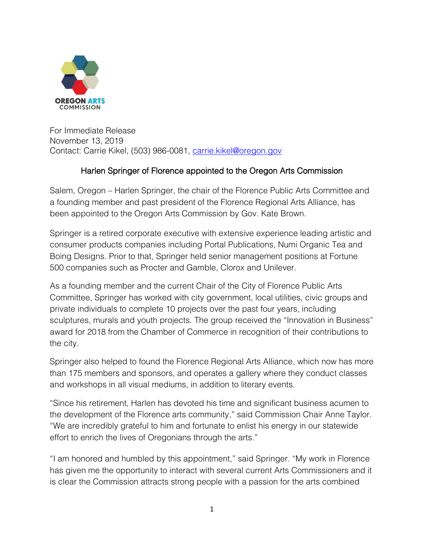

For Immediate Release November 13, 2019 Contact: Carrie Kikel, (503) 986-0081, [carrie.kikel@oregon.gov](mailto:carrie.kikel@oregon.gov)

## Harlen Springer of Florence appointed to the Oregon Arts Commission

Salem, Oregon – Harlen Springer, the chair of the Florence Public Arts Committee and a founding member and past president of the Florence Regional Arts Alliance, has been appointed to the Oregon Arts Commission by Gov. Kate Brown.

Springer is a retired corporate executive with extensive experience leading artistic and consumer products companies including Portal Publications, Numi Organic Tea and Boing Designs. Prior to that, Springer held senior management positions at Fortune 500 companies such as Procter and Gamble, Clorox and Unilever.

As a founding member and the current Chair of the City of Florence Public Arts Committee, Springer has worked with city government, local utilities, civic groups and private individuals to complete 10 projects over the past four years, including sculptures, murals and youth projects. The group received the "Innovation in Business" award for 2018 from the Chamber of Commerce in recognition of their contributions to the city.

Springer also helped to found the Florence Regional Arts Alliance, which now has more than 175 members and sponsors, and operates a gallery where they conduct classes and workshops in all visual mediums, in addition to literary events.

"Since his retirement, Harlen has devoted his time and significant business acumen to the development of the Florence arts community," said Commission Chair Anne Taylor. "We are incredibly grateful to him and fortunate to enlist his energy in our statewide effort to enrich the lives of Oregonians through the arts."

"I am honored and humbled by this appointment," said Springer. "My work in Florence has given me the opportunity to interact with several current Arts Commissioners and it is clear the Commission attracts strong people with a passion for the arts combined